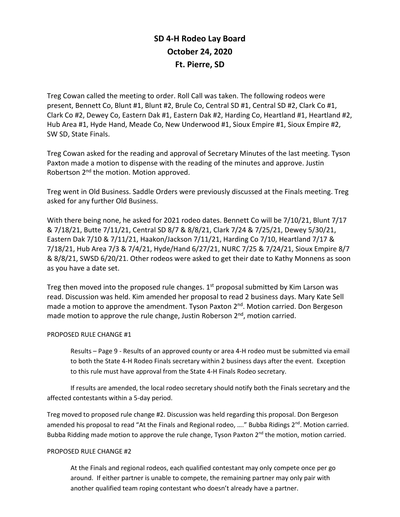## **SD 4-H Rodeo Lay Board October 24, 2020 Ft. Pierre, SD**

Treg Cowan called the meeting to order. Roll Call was taken. The following rodeos were present, Bennett Co, Blunt #1, Blunt #2, Brule Co, Central SD #1, Central SD #2, Clark Co #1, Clark Co #2, Dewey Co, Eastern Dak #1, Eastern Dak #2, Harding Co, Heartland #1, Heartland #2, Hub Area #1, Hyde Hand, Meade Co, New Underwood #1, Sioux Empire #1, Sioux Empire #2, SW SD, State Finals.

Treg Cowan asked for the reading and approval of Secretary Minutes of the last meeting. Tyson Paxton made a motion to dispense with the reading of the minutes and approve. Justin Robertson 2<sup>nd</sup> the motion. Motion approved.

Treg went in Old Business. Saddle Orders were previously discussed at the Finals meeting. Treg asked for any further Old Business.

With there being none, he asked for 2021 rodeo dates. Bennett Co will be 7/10/21, Blunt 7/17 & 7/18/21, Butte 7/11/21, Central SD 8/7 & 8/8/21, Clark 7/24 & 7/25/21, Dewey 5/30/21, Eastern Dak 7/10 & 7/11/21, Haakon/Jackson 7/11/21, Harding Co 7/10, Heartland 7/17 & 7/18/21, Hub Area 7/3 & 7/4/21, Hyde/Hand 6/27/21, NURC 7/25 & 7/24/21, Sioux Empire 8/7 & 8/8/21, SWSD 6/20/21. Other rodeos were asked to get their date to Kathy Monnens as soon as you have a date set.

Treg then moved into the proposed rule changes.  $1<sup>st</sup>$  proposal submitted by Kim Larson was read. Discussion was held. Kim amended her proposal to read 2 business days. Mary Kate Sell made a motion to approve the amendment. Tyson Paxton 2<sup>nd</sup>. Motion carried. Don Bergeson made motion to approve the rule change, Justin Roberson  $2<sup>nd</sup>$ , motion carried.

## PROPOSED RULE CHANGE #1

Results – Page 9 - Results of an approved county or area 4-H rodeo must be submitted via email to both the State 4-H Rodeo Finals secretary within 2 business days after the event. Exception to this rule must have approval from the State 4-H Finals Rodeo secretary.

If results are amended, the local rodeo secretary should notify both the Finals secretary and the affected contestants within a 5-day period.

Treg moved to proposed rule change #2. Discussion was held regarding this proposal. Don Bergeson amended his proposal to read "At the Finals and Regional rodeo, ...." Bubba Ridings  $2^{nd}$ . Motion carried. Bubba Ridding made motion to approve the rule change, Tyson Paxton 2<sup>nd</sup> the motion, motion carried.

## PROPOSED RULE CHANGE #2

At the Finals and regional rodeos, each qualified contestant may only compete once per go around. If either partner is unable to compete, the remaining partner may only pair with another qualified team roping contestant who doesn't already have a partner.